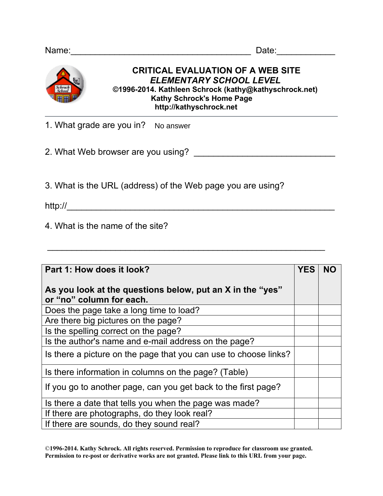

## **CRITICAL EVALUATION OF A WEB SITE**  *ELEMENTARY SCHOOL LEVEL* **©1996-2014. Kathleen Schrock (kathy@kathyschrock.net) Kathy Schrock's Home Page http://kathyschrock.net**

1. What grade are you in? No answer

2. What Web browser are you using? \_\_\_\_\_\_\_\_\_\_\_\_\_\_\_\_\_\_\_\_\_\_\_\_\_\_\_\_\_

3. What is the URL (address) of the Web page you are using?

http://\_\_\_\_\_\_\_\_\_\_\_\_\_\_\_\_\_\_\_\_\_\_\_\_\_\_\_\_\_\_\_\_\_\_\_\_\_\_\_\_\_\_\_\_\_\_\_\_\_\_\_\_\_\_\_

4. What is the name of the site?

| Part 1: How does it look?                                                             | <b>YES</b> | <b>NO</b> |
|---------------------------------------------------------------------------------------|------------|-----------|
| As you look at the questions below, put an X in the "yes"<br>or "no" column for each. |            |           |
| Does the page take a long time to load?                                               |            |           |
| Are there big pictures on the page?                                                   |            |           |
| Is the spelling correct on the page?                                                  |            |           |
| Is the author's name and e-mail address on the page?                                  |            |           |
| Is there a picture on the page that you can use to choose links?                      |            |           |
| Is there information in columns on the page? (Table)                                  |            |           |
| If you go to another page, can you get back to the first page?                        |            |           |
| Is there a date that tells you when the page was made?                                |            |           |
| If there are photographs, do they look real?                                          |            |           |
| If there are sounds, do they sound real?                                              |            |           |

 $\frac{1}{2}$  ,  $\frac{1}{2}$  ,  $\frac{1}{2}$  ,  $\frac{1}{2}$  ,  $\frac{1}{2}$  ,  $\frac{1}{2}$  ,  $\frac{1}{2}$  ,  $\frac{1}{2}$  ,  $\frac{1}{2}$  ,  $\frac{1}{2}$  ,  $\frac{1}{2}$  ,  $\frac{1}{2}$  ,  $\frac{1}{2}$  ,  $\frac{1}{2}$  ,  $\frac{1}{2}$  ,  $\frac{1}{2}$  ,  $\frac{1}{2}$  ,  $\frac{1}{2}$  ,  $\frac{1$ 

©**1996-2014. Kathy Schrock. All rights reserved. Permission to reproduce for classroom use granted. Permission to re-post or derivative works are not granted. Please link to this URL from your page.**